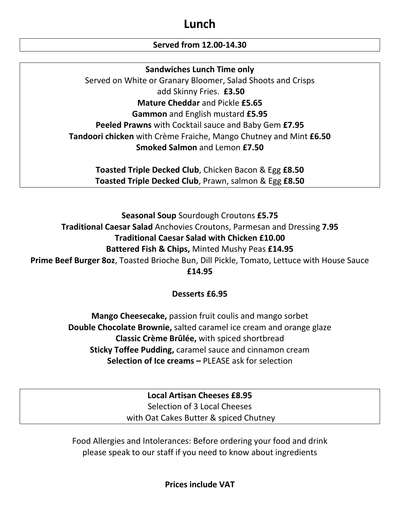# **Lunch**

# **Served from 12.00-14.30**

# **Sandwiches Lunch Time only**

Served on White or Granary Bloomer, Salad Shoots and Crisps add Skinny Fries. **£3.50 Mature Cheddar** and Pickle **£5.65 Gammon** and English mustard **£5.95 Peeled Prawns** with Cocktail sauce and Baby Gem **£7.95 Tandoori chicken** with Crème Fraiche, Mango Chutney and Mint **£6.50 Smoked Salmon** and Lemon **£7.50**

**Toasted Triple Decked Club**, Chicken Bacon & Egg **£8.50 Toasted Triple Decked Club**, Prawn, salmon & Egg **£8.50**

**Seasonal Soup** Sourdough Croutons **£5.75 Traditional Caesar Salad** Anchovies Croutons, Parmesan and Dressing **7.95 Traditional Caesar Salad with Chicken £10.00 Battered Fish & Chips,** Minted Mushy Peas **£14.95 Prime Beef Burger 8oz**, Toasted Brioche Bun, Dill Pickle, Tomato, Lettuce with House Sauce **£14.95**

# **Desserts £6.95**

**Mango Cheesecake,** passion fruit coulis and mango sorbet **Double Chocolate Brownie,** salted caramel ice cream and orange glaze **Classic Crème Brûlée,** with spiced shortbread **Sticky Toffee Pudding,** caramel sauce and cinnamon cream **Selection of Ice creams –** PLEASE ask for selection

> **Local Artisan Cheeses £8.95** Selection of 3 Local Cheeses with Oat Cakes Butter & spiced Chutney

Food Allergies and Intolerances: Before ordering your food and drink please speak to our staff if you need to know about ingredients

**Prices include VAT**